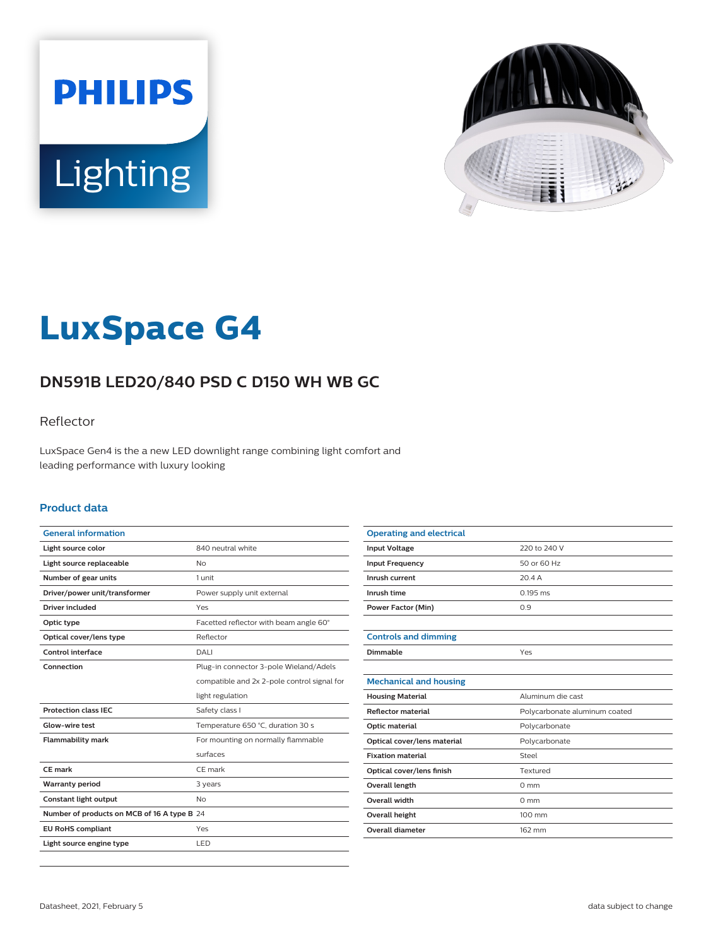



# **LuxSpace G4**

# **DN591B LED20/840 PSD C D150 WH WB GC**

### Reflector

LuxSpace Gen4 is the a new LED downlight range combining light comfort and leading performance with luxury looking

#### **Product data**

| <b>General information</b>                  |                                             |
|---------------------------------------------|---------------------------------------------|
| Light source color                          | 840 neutral white                           |
| Light source replaceable                    | No                                          |
| Number of gear units                        | 1 unit                                      |
| Driver/power unit/transformer               | Power supply unit external                  |
| <b>Driver included</b>                      | Yes                                         |
| Optic type                                  | Facetted reflector with beam angle 60°      |
| Optical cover/lens type                     | Reflector                                   |
| Control interface                           | DALI                                        |
| Connection                                  | Plug-in connector 3-pole Wieland/Adels      |
|                                             | compatible and 2x 2-pole control signal for |
|                                             | light regulation                            |
| <b>Protection class IEC</b>                 | Safety class I                              |
| Glow-wire test                              | Temperature 650 °C, duration 30 s           |
| <b>Flammability mark</b>                    | For mounting on normally flammable          |
|                                             | surfaces                                    |
| CE mark                                     | CE mark                                     |
| <b>Warranty period</b>                      | 3 years                                     |
| Constant light output                       | N <sub>o</sub>                              |
| Number of products on MCB of 16 A type B 24 |                                             |
| <b>EU RoHS compliant</b>                    | Yes                                         |
| Light source engine type                    | LED                                         |

| <b>Operating and electrical</b> |                               |
|---------------------------------|-------------------------------|
| <b>Input Voltage</b>            | 220 to 240 V                  |
| <b>Input Frequency</b>          | 50 or 60 Hz                   |
| Inrush current                  | 20.4A                         |
| Inrush time                     | $0.195$ ms                    |
| <b>Power Factor (Min)</b>       | 0.9                           |
|                                 |                               |
| <b>Controls and dimming</b>     |                               |
| Dimmable                        | Yes                           |
|                                 |                               |
| <b>Mechanical and housing</b>   |                               |
| <b>Housing Material</b>         | Aluminum die cast             |
| <b>Reflector material</b>       | Polycarbonate aluminum coated |
| Optic material                  | Polycarbonate                 |
| Optical cover/lens material     | Polycarbonate                 |
| <b>Fixation material</b>        | Steel                         |
| Optical cover/lens finish       | Textured                      |
| <b>Overall length</b>           | $0 \text{ mm}$                |
| <b>Overall width</b>            | $0 \text{ mm}$                |
| Overall height                  | 100 mm                        |
| <b>Overall diameter</b>         | 162 mm                        |
|                                 |                               |